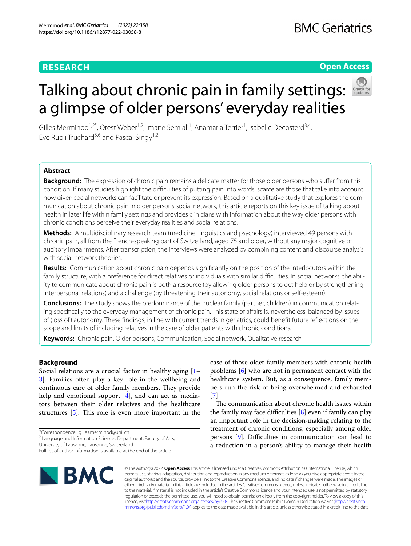# **RESEARCH**

# **Open Access**

Gilles Merminod<sup>1,2\*</sup>, Orest Weber<sup>1,2</sup>, Imane Semlali<sup>1</sup>, Anamaria Terrier<sup>1</sup>, Isabelle Decosterd<sup>3,4</sup>, Eve Rubli Truchard<sup>5,6</sup> and Pascal Singy<sup>1,2</sup>

Talking about chronic pain in family settings:

a glimpse of older persons' everyday realities

# **Abstract**

**Background:** The expression of chronic pain remains a delicate matter for those older persons who sufer from this condition. If many studies highlight the difficulties of putting pain into words, scarce are those that take into account how given social networks can facilitate or prevent its expression. Based on a qualitative study that explores the communication about chronic pain in older persons' social network, this article reports on this key issue of talking about health in later life within family settings and provides clinicians with information about the way older persons with chronic conditions perceive their everyday realities and social relations.

**Methods:** A multidisciplinary research team (medicine, linguistics and psychology) interviewed 49 persons with chronic pain, all from the French-speaking part of Switzerland, aged 75 and older, without any major cognitive or auditory impairments. After transcription, the interviews were analyzed by combining content and discourse analysis with social network theories.

**Results:** Communication about chronic pain depends signifcantly on the position of the interlocutors within the family structure, with a preference for direct relatives or individuals with similar difficulties. In social networks, the ability to communicate about chronic pain is both a resource (by allowing older persons to get help or by strengthening interpersonal relations) and a challenge (by threatening their autonomy, social relations or self-esteem).

**Conclusions:** The study shows the predominance of the nuclear family (partner, children) in communication relating specifically to the everyday management of chronic pain. This state of affairs is, nevertheless, balanced by issues of (loss of ) autonomy. These fndings, in line with current trends in geriatrics, could beneft future refections on the scope and limits of including relatives in the care of older patients with chronic conditions.

**Keywords:** Chronic pain, Older persons, Communication, Social network, Qualitative research

# **Background**

Social relations are a crucial factor in healthy aging  $[1 -$ [3\]](#page-6-1). Families often play a key role in the wellbeing and continuous care of older family members. They provide help and emotional support  $[4]$  $[4]$ , and can act as mediators between their older relatives and the healthcare structures  $[5]$  $[5]$ . This role is even more important in the

University of Lausanne, Lausanne, Switzerland

Full list of author information is available at the end of the article



case of those older family members with chronic health problems [\[6\]](#page-6-4) who are not in permanent contact with the healthcare system. But, as a consequence, family members run the risk of being overwhelmed and exhausted [[7\]](#page-6-5).

The communication about chronic health issues within the family may face difficulties  $[8]$  $[8]$  even if family can play an important role in the decision-making relating to the treatment of chronic conditions, especially among older persons [\[9](#page-6-7)]. Difficulties in communication can lead to a reduction in a person's ability to manage their health

© The Author(s) 2022. **Open Access** This article is licensed under a Creative Commons Attribution 4.0 International License, which permits use, sharing, adaptation, distribution and reproduction in any medium or format, as long as you give appropriate credit to the original author(s) and the source, provide a link to the Creative Commons licence, and indicate if changes were made. The images or other third party material in this article are included in the article's Creative Commons licence, unless indicated otherwise in a credit line to the material. If material is not included in the article's Creative Commons licence and your intended use is not permitted by statutory regulation or exceeds the permitted use, you will need to obtain permission directly from the copyright holder. To view a copy of this licence, visi[thttp://creativecommons.org/licenses/by/4.0/](http://creativecommons.org/licenses/by/4.0/). The Creative Commons Public Domain Dedication waiver [\(http://creativeco](http://creativecommons.org/publicdomain/zero/1.0/) [mmons.org/publicdomain/zero/1.0/](http://creativecommons.org/publicdomain/zero/1.0/)) applies to the data made available in this article, unless otherwise stated in a credit line to the data.

<sup>\*</sup>Correspondence: gilles.merminod@unil.ch

<sup>&</sup>lt;sup>2</sup> Language and Information Sciences Department, Faculty of Arts,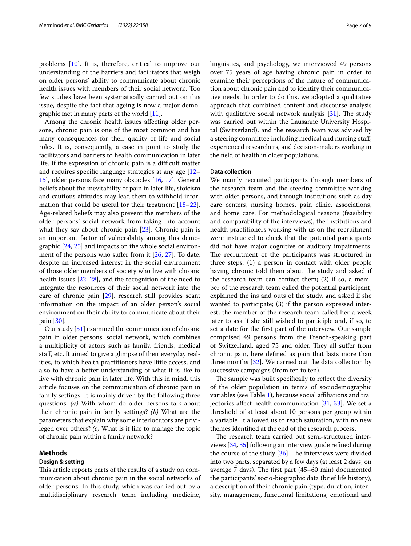problems [[10\]](#page-6-8). It is, therefore, critical to improve our understanding of the barriers and facilitators that weigh on older persons' ability to communicate about chronic health issues with members of their social network. Too few studies have been systematically carried out on this issue, despite the fact that ageing is now a major demographic fact in many parts of the world [\[11](#page-6-9)].

Among the chronic health issues afecting older persons, chronic pain is one of the most common and has many consequences for their quality of life and social roles. It is, consequently, a case in point to study the facilitators and barriers to health communication in later life. If the expression of chronic pain is a difficult matter and requires specifc language strategies at any age [[12–](#page-6-10) [15\]](#page-7-0), older persons face many obstacles [\[16,](#page-7-1) [17](#page-7-2)]. General beliefs about the inevitability of pain in later life, stoicism and cautious attitudes may lead them to withhold information that could be useful for their treatment [[18](#page-7-3)[–22](#page-7-4)]. Age-related beliefs may also prevent the members of the older persons' social network from taking into account what they say about chronic pain [[23\]](#page-7-5). Chronic pain is an important factor of vulnerability among this demographic [[24,](#page-7-6) [25](#page-7-7)] and impacts on the whole social environ-ment of the persons who suffer from it [\[26,](#page-7-8) [27\]](#page-7-9). To date, despite an increased interest in the social environment of those older members of society who live with chronic health issues [\[22,](#page-7-4) [28\]](#page-7-10), and the recognition of the need to integrate the resources of their social network into the care of chronic pain [[29\]](#page-7-11), research still provides scant information on the impact of an older person's social environment on their ability to communicate about their pain [\[30\]](#page-7-12).

Our study [[31\]](#page-7-13) examined the communication of chronic pain in older persons' social network, which combines a multiplicity of actors such as family, friends, medical staf, etc. It aimed to give a glimpse of their everyday realities, to which health practitioners have little access, and also to have a better understanding of what it is like to live with chronic pain in later life. With this in mind, this article focuses on the communication of chronic pain in family settings. It is mainly driven by the following three questions: *(a)* With whom do older persons talk about their chronic pain in family settings? *(b)* What are the parameters that explain why some interlocutors are privileged over others? *(c)* What is it like to manage the topic of chronic pain within a family network?

# **Methods**

# **Design & setting**

This article reports parts of the results of a study on communication about chronic pain in the social networks of older persons. In this study, which was carried out by a multidisciplinary research team including medicine,

linguistics, and psychology, we interviewed 49 persons over 75 years of age having chronic pain in order to examine their perceptions of the nature of communication about chronic pain and to identify their communicative needs. In order to do this, we adopted a qualitative approach that combined content and discourse analysis with qualitative social network analysis  $[31]$  $[31]$ . The study was carried out within the Lausanne University Hospital (Switzerland), and the research team was advised by a steering committee including medical and nursing staf, experienced researchers, and decision-makers working in the feld of health in older populations.

# **Data collection**

We mainly recruited participants through members of the research team and the steering committee working with older persons, and through institutions such as day care centers, nursing homes, pain clinic, associations, and home care. For methodological reasons (feasibility and comparability of the interviews), the institutions and health practitioners working with us on the recruitment were instructed to check that the potential participants did not have major cognitive or auditory impairments. The recruitment of the participants was structured in three steps: (1) a person in contact with older people having chronic told them about the study and asked if the research team can contact them; (2) if so, a member of the research team called the potential participant, explained the ins and outs of the study, and asked if she wanted to participate; (3) if the person expressed interest, the member of the research team called her a week later to ask if she still wished to participle and, if so, to set a date for the frst part of the interview. Our sample comprised 49 persons from the French-speaking part of Switzerland, aged 75 and older. They all suffer from chronic pain, here defned as pain that lasts more than three months  $[32]$  $[32]$ . We carried out the data collection by successive campaigns (from ten to ten).

The sample was built specifically to reflect the diversity of the older population in terms of sociodemographic variables (see Table [1\)](#page-2-0), because social affiliations and trajectories affect health communication  $[31, 33]$  $[31, 33]$  $[31, 33]$ . We set a threshold of at least about 10 persons per group within a variable. It allowed us to reach saturation, with no new themes identifed at the end of the research process.

The research team carried out semi-structured interviews [[34,](#page-7-16) [35\]](#page-7-17) following an interview guide refned during the course of the study  $[36]$  $[36]$ . The interviews were divided into two parts, separated by a few days (at least 2 days, on average 7 days). The first part (45–60 min) documented the participants' socio-biographic data (brief life history), a description of their chronic pain (type, duration, intensity, management, functional limitations, emotional and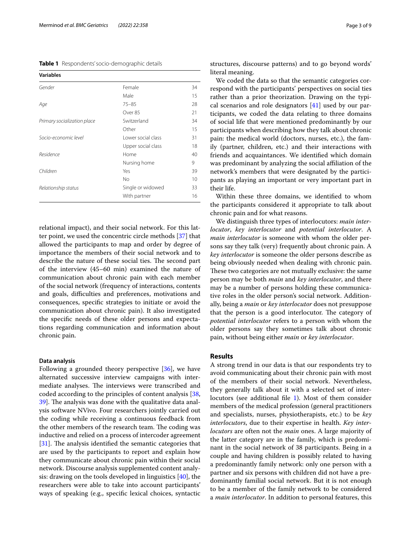<span id="page-2-0"></span>**Table 1** Respondents' socio-demographic details

| <b>Variables</b>            |                    |    |
|-----------------------------|--------------------|----|
| Gender                      | Female             | 34 |
|                             | Male               | 15 |
| Age                         | $75 - 85$          | 28 |
|                             | Over 85            | 21 |
| Primary socialization place | Switzerland        | 34 |
|                             | Other              | 15 |
| Socio-economic level        | Lower social class | 31 |
|                             | Upper social class | 18 |
| Residence                   | Home               | 40 |
|                             | Nursing home       | 9  |
| Children                    | Yes                | 39 |
|                             | Nο                 | 10 |
| Relationship status         | Single or widowed  | 33 |
|                             | With partner       | 16 |

relational impact), and their social network. For this latter point, we used the concentric circle methods [[37\]](#page-7-19) that allowed the participants to map and order by degree of importance the members of their social network and to describe the nature of these social ties. The second part of the interview (45–60 min) examined the nature of communication about chronic pain with each member of the social network (frequency of interactions, contents and goals, difficulties and preferences, motivations and consequences, specifc strategies to initiate or avoid the communication about chronic pain). It also investigated the specifc needs of these older persons and expectations regarding communication and information about chronic pain.

# **Data analysis**

Following a grounded theory perspective [\[36](#page-7-18)], we have alternated successive interview campaigns with intermediate analyses. The interviews were transcribed and coded according to the principles of content analysis [\[38](#page-7-20), 39. The analysis was done with the qualitative data analysis software NVivo. Four researchers jointly carried out the coding while receiving a continuous feedback from the other members of the research team. The coding was inductive and relied on a process of intercoder agreement  $[31]$  $[31]$ . The analysis identified the semantic categories that are used by the participants to report and explain how they communicate about chronic pain within their social network. Discourse analysis supplemented content analysis: drawing on the tools developed in linguistics [[40\]](#page-7-22), the researchers were able to take into account participants' ways of speaking (e.g., specifc lexical choices, syntactic structures, discourse patterns) and to go beyond words' literal meaning.

We coded the data so that the semantic categories correspond with the participants' perspectives on social ties rather than a prior theorization. Drawing on the typical scenarios and role designators  $[41]$  $[41]$  used by our participants, we coded the data relating to three domains of social life that were mentioned predominantly by our participants when describing how they talk about chronic pain: the medical world (doctors, nurses, etc.), the family (partner, children, etc.) and their interactions with friends and acquaintances. We identifed which domain was predominant by analyzing the social affiliation of the network's members that were designated by the participants as playing an important or very important part in their life.

Within these three domains, we identifed to whom the participants considered it appropriate to talk about chronic pain and for what reasons.

We distinguish three types of interlocutors: *main interlocutor*, *key interlocutor* and *potential interlocutor*. A *main interlocutor* is someone with whom the older persons say they talk (very) frequently about chronic pain. A *key interlocutor* is someone the older persons describe as being obviously needed when dealing with chronic pain. These two categories are not mutually exclusive: the same person may be both *main* and *key interlocutor*, and there may be a number of persons holding these communicative roles in the older person's social network. Additionally, being a *main* or *key interlocutor* does not presuppose that the person is a good interlocutor. The category of *potential interlocutor* refers to a person with whom the older persons say they sometimes talk about chronic pain, without being either *main* or *key interlocutor*.

# **Results**

A strong trend in our data is that our respondents try to avoid communicating about their chronic pain with most of the members of their social network. Nevertheless, they generally talk about it with a selected set of inter-locutors (see additional file [1](#page-6-11)). Most of them consider members of the medical profession (general practitioners and specialists, nurses, physiotherapists, etc.) to be *key interlocutors*, due to their expertise in health. *Key interlocutors* are often not the *main* ones. A large majority of the latter category are in the family, which is predominant in the social network of 38 participants. Being in a couple and having children is possibly related to having a predominantly family network: only one person with a partner and six persons with children did not have a predominantly familial social network. But it is not enough to be a member of the family network to be considered a *main interlocutor*. In addition to personal features, this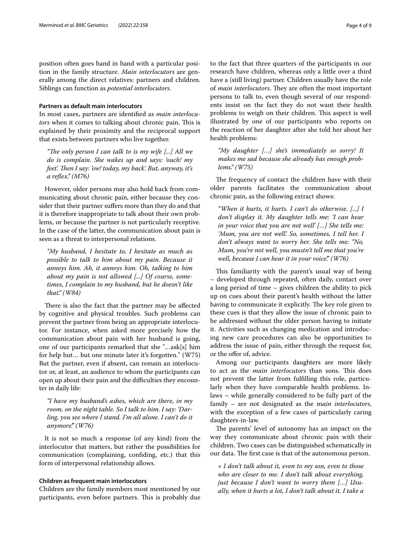position often goes hand in hand with a particular position in the family structure. *Main interlocutors* are generally among the direct relatives: partners and children. Siblings can function as *potential interlocutors*.

# **Partners as default main interlocutors**

In most cases, partners are identifed as *main interlocutors* when it comes to talking about chronic pain. This is explained by their proximity and the reciprocal support that exists between partners who live together.

*"The only person I can talk to is my wife [...] All we do is complain. She wakes up and says: 'ouch! my feet'. Then I say: 'ow! today, my back'. But, anyway, it's a refex." (M76)*

However, older persons may also hold back from communicating about chronic pain, either because they consider that their partner suffers more than they do and that it is therefore inappropriate to talk about their own problems, or because the partner is not particularly receptive. In the case of the latter, the communication about pain is seen as a threat to interpersonal relations.

*"My husband, I hesitate to, I hesitate as much as possible to talk to him about my pain. Because it annoys him. Ah, it annoys him. Oh, talking to him about my pain is not allowed [...] Of course, sometimes, I complain to my husband, but he doesn't like that." (W84)*

There is also the fact that the partner may be affected by cognitive and physical troubles. Such problems can prevent the partner from being an appropriate interlocutor. For instance, when asked more precisely how the communication about pain with her husband is going, one of our participants remarked that she "…ask[s] him for help but… but one minute later it's forgotten." (W75) But the partner, even if absent, can remain an interlocutor or, at least, an audience to whom the participants can open up about their pain and the difficulties they encounter in daily life:

*"I have my husband's ashes, which are there, in my room, on the night table. So I talk to him. I say: 'Darling, you see where I stand. I'm all alone. I can't do it anymore'." (W76)*

It is not so much a response (of any kind) from the interlocutor that matters, but rather the possibilities for communication (complaining, confding, etc.) that this form of interpersonal relationship allows.

# **Children as frequent main interlocutors**

Children are the family members most mentioned by our participants, even before partners. This is probably due to the fact that three quarters of the participants in our research have children, whereas only a little over a third have a (still living) partner. Children usually have the role of *main interlocutors*. They are often the most important persons to talk to, even though several of our respondents insist on the fact they do not want their health problems to weigh on their children. This aspect is well illustrated by one of our participants who reports on the reaction of her daughter after she told her about her health problems:

*"My daughter […] she's immediately so sorry! It makes me sad because she already has enough problems." (W75)*

The frequency of contact the children have with their older parents facilitates the communication about chronic pain, as the following extract shows:

*"When it hurts, it hurts. I can't do otherwise. [...] I don't display it. My daughter tells me: 'I can hear in your voice that you are not well' […] She tells me: 'Mum, you are not well'. So, sometimes, I tell her. I don't always want to worry her. She tells me: "No, Mum, you're not well, you mustn't tell me that you're well, because I can hear it in your voice'." (W76)*

This familiarity with the parent's usual way of being – developed through repeated, often daily, contact over a long period of time – gives children the ability to pick up on cues about their parent's health without the latter having to communicate it explicitly. The key role given to these cues is that they allow the issue of chronic pain to be addressed without the older person having to initiate it. Activities such as changing medication and introducing new care procedures can also be opportunities to address the issue of pain, either through the request for, or the offer of, advice.

Among our participants daughters are more likely to act as the *main interlocutors* than sons. This does not prevent the latter from fulflling this role, particularly when they have comparable health problems. Inlaws – while generally considered to be fully part of the family – are not designated as the m*ain interlocutors*, with the exception of a few cases of particularly caring daughters-in-law.

The parents' level of autonomy has an impact on the way they communicate about chronic pain with their children. Two cases can be distinguished schematically in our data. The first case is that of the autonomous person.

*« I don't talk about it, even to my son, even to those who are closer to me. I don't talk about everything, just because I don't want to worry them […] Usually, when it hurts a lot, I don't talk about it. I take a*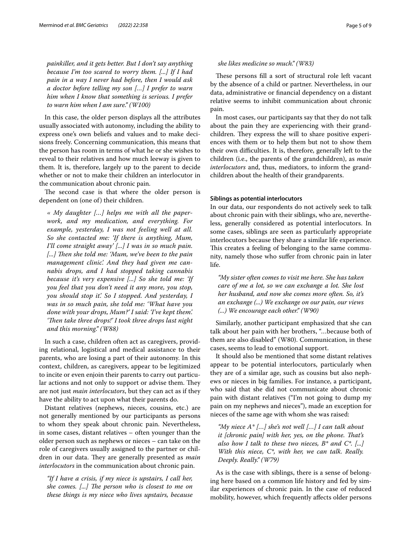*painkiller, and it gets better. But I don't say anything because I'm too scared to worry them. [...] If I had pain in a way I never had before, then I would ask a doctor before telling my son […] I prefer to warn him when I know that something is serious. I prefer to warn him when I am sure." (W100)*

In this case, the older person displays all the attributes usually associated with autonomy, including the ability to express one's own beliefs and values and to make decisions freely. Concerning communication, this means that the person has room in terms of what he or she wishes to reveal to their relatives and how much leeway is given to them. It is, therefore, largely up to the parent to decide whether or not to make their children an interlocutor in the communication about chronic pain.

The second case is that where the older person is dependent on (one of) their children.

*« My daughter […] helps me with all the paperwork, and my medication, and everything. For example, yesterday, I was not feeling well at all. So she contacted me: 'If there is anything, Mum, I'll come straight away' [...] I was in so much pain.*  [...] Then she told me: 'Mum, we've been to the pain *management clinic'. And they had given me cannabis drops, and I had stopped taking cannabis because it's very expensive [...] So she told me: 'If you feel that you don't need it any more, you stop, you should stop it'. So I stopped. And yesterday, I was in so much pain, she told me: 'What have you done with your drops, Mum?' I said: 'I've kept them'.*  'Then take three drops!' I took three drops last night *and this morning." (W88)*

In such a case, children often act as caregivers, providing relational, logistical and medical assistance to their parents, who are losing a part of their autonomy. In this context, children, as caregivers, appear to be legitimized to incite or even enjoin their parents to carry out particular actions and not only to support or advise them. They are not just *main interlocutors*, but they can act as if they have the ability to act upon what their parents do.

Distant relatives (nephews, nieces, cousins, etc.) are not generally mentioned by our participants as persons to whom they speak about chronic pain. Nevertheless, in some cases, distant relatives – often younger than the older person such as nephews or nieces – can take on the role of caregivers usually assigned to the partner or children in our data. They are generally presented as *main interlocutors* in the communication about chronic pain.

*"If I have a crisis, if my niece is upstairs, I call her, she comes.* [...] The person who is closest to me on *these things is my niece who lives upstairs, because* 

### *she likes medicine so much." (W83)*

These persons fill a sort of structural role left vacant by the absence of a child or partner. Nevertheless, in our data, administrative or fnancial dependency on a distant relative seems to inhibit communication about chronic pain.

In most cases, our participants say that they do not talk about the pain they are experiencing with their grandchildren. They express the will to share positive experiences with them or to help them but not to show them their own difficulties. It is, therefore, generally left to the children (i.e., the parents of the grandchildren), as *main interlocutors* and, thus, mediators, to inform the grandchildren about the health of their grandparents.

### **Siblings as potential interlocutors**

In our data, our respondents do not actively seek to talk about chronic pain with their siblings, who are, nevertheless, generally considered as potential interlocutors. In some cases, siblings are seen as particularly appropriate interlocutors because they share a similar life experience. This creates a feeling of belonging to the same community, namely those who sufer from chronic pain in later life.

*"My sister often comes to visit me here. She has taken care of me a lot, so we can exchange a lot. She lost her husband, and now she comes more often. So, it's an exchange (...) We exchange on our pain, our views (...) We encourage each other." (W90)*

Similarly, another participant emphasized that she can talk about her pain with her brothers, "…because both of them are also disabled" (W80). Communication, in these cases, seems to lead to emotional support.

It should also be mentioned that some distant relatives appear to be potential interlocutors, particularly when they are of a similar age, such as cousins but also nephews or nieces in big families. For instance, a participant, who said that she did not communicate about chronic pain with distant relatives ("I'm not going to dump my pain on my nephews and nieces"), made an exception for nieces of the same age with whom she was raised:

*"My niece A\* […] she's not well […] I can talk about it [chronic pain] with her, yes, on the phone. Tat's also how I talk to these two nieces, B\* and C\*. [...] With this niece, C\*, with her, we can talk. Really. Deeply. Really." (W79)*

As is the case with siblings, there is a sense of belonging here based on a common life history and fed by similar experiences of chronic pain. In the case of reduced mobility, however, which frequently afects older persons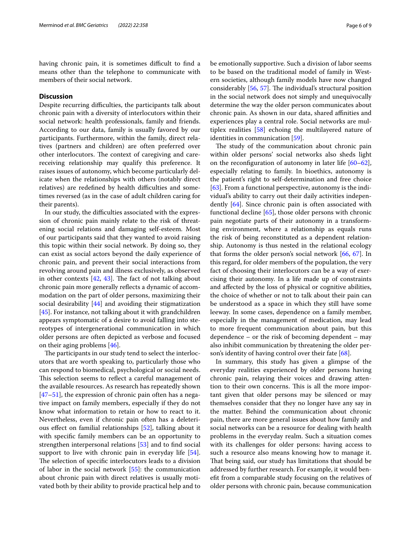having chronic pain, it is sometimes difficult to find a means other than the telephone to communicate with members of their social network.

# **Discussion**

Despite recurring difficulties, the participants talk about chronic pain with a diversity of interlocutors within their social network: health professionals, family and friends. According to our data, family is usually favored by our participants. Furthermore, within the family, direct relatives (partners and children) are often preferred over other interlocutors. The context of caregiving and carereceiving relationship may qualify this preference. It raises issues of autonomy, which become particularly delicate when the relationships with others (notably direct relatives) are redefined by health difficulties and sometimes reversed (as in the case of adult children caring for their parents).

In our study, the difficulties associated with the expression of chronic pain mainly relate to the risk of threatening social relations and damaging self-esteem. Most of our participants said that they wanted to avoid raising this topic within their social network. By doing so, they can exist as social actors beyond the daily experience of chronic pain, and prevent their social interactions from revolving around pain and illness exclusively, as observed in other contexts  $[42, 43]$  $[42, 43]$  $[42, 43]$  $[42, 43]$  $[42, 43]$ . The fact of not talking about chronic pain more generally refects a dynamic of accommodation on the part of older persons, maximizing their social desirability [\[44](#page-7-26)] and avoiding their stigmatization [[45\]](#page-7-27). For instance, not talking about it with grandchildren appears symptomatic of a desire to avoid falling into stereotypes of intergenerational communication in which older persons are often depicted as verbose and focused on their aging problems [\[46](#page-7-28)].

The participants in our study tend to select the interlocutors that are worth speaking to, particularly those who can respond to biomedical, psychological or social needs. This selection seems to reflect a careful management of the available resources. As research has repeatedly shown [[47–](#page-7-29)[51](#page-7-30)], the expression of chronic pain often has a negative impact on family members, especially if they do not know what information to retain or how to react to it. Nevertheless, even if chronic pain often has a deleterious efect on familial relationships [[52](#page-7-31)], talking about it with specifc family members can be an opportunity to strengthen interpersonal relations [[53\]](#page-7-32) and to fnd social support to live with chronic pain in everyday life [\[54](#page-7-33)]. The selection of specific interlocutors leads to a division of labor in the social network [\[55\]](#page-7-34): the communication about chronic pain with direct relatives is usually motivated both by their ability to provide practical help and to be emotionally supportive. Such a division of labor seems to be based on the traditional model of family in Western societies, although family models have now changed considerably [\[56](#page-7-35), [57\]](#page-7-36). The individual's structural position in the social network does not simply and unequivocally determine the way the older person communicates about chronic pain. As shown in our data, shared affinities and experiences play a central role. Social networks are multiplex realities [[58\]](#page-7-37) echoing the multilayered nature of identities in communication [\[59](#page-7-38)].

The study of the communication about chronic pain within older persons' social networks also sheds light on the reconfiguration of autonomy in later life  $[60-62]$  $[60-62]$  $[60-62]$ , especially relating to family. In bioethics, autonomy is the patient's right to self-determination and free choice [[63\]](#page-7-41). From a functional perspective, autonomy is the individual's ability to carry out their daily activities independently [\[64\]](#page-7-42). Since chronic pain is often associated with functional decline [[65\]](#page-7-43), those older persons with chronic pain negotiate parts of their autonomy in a transforming environment, where a relationship as equals runs the risk of being reconstituted as a dependent relationship. Autonomy is thus nested in the relational ecology that forms the older person's social network [[66,](#page-7-44) [67](#page-7-45)]. In this regard, for older members of the population, the very fact of choosing their interlocutors can be a way of exercising their autonomy. In a life made up of constraints and afected by the loss of physical or cognitive abilities, the choice of whether or not to talk about their pain can be understood as a space in which they still have some leeway. In some cases, dependence on a family member, especially in the management of medication, may lead to more frequent communication about pain, but this dependence – or the risk of becoming dependent – may also inhibit communication by threatening the older person's identity of having control over their fate [\[68\]](#page-8-0).

In summary, this study has given a glimpse of the everyday realities experienced by older persons having chronic pain, relaying their voices and drawing attention to their own concerns. This is all the more important given that older persons may be silenced or may themselves consider that they no longer have any say in the matter. Behind the communication about chronic pain, there are more general issues about how family and social networks can be a resource for dealing with health problems in the everyday realm. Such a situation comes with its challenges for older persons: having access to such a resource also means knowing how to manage it. That being said, our study has limitations that should be addressed by further research. For example, it would beneft from a comparable study focusing on the relatives of older persons with chronic pain, because communication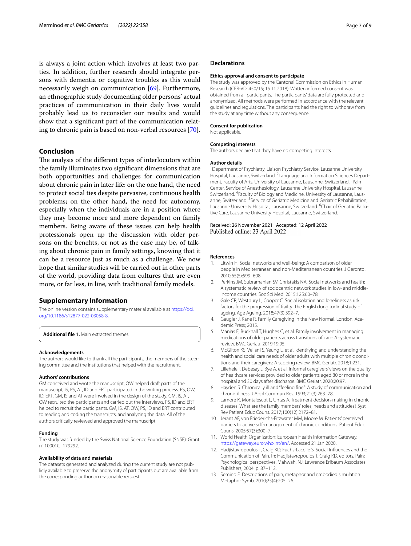is always a joint action which involves at least two parties. In addition, further research should integrate persons with dementia or cognitive troubles as this would necessarily weigh on communication [\[69](#page-8-1)]. Furthermore, an ethnographic study documenting older persons' actual practices of communication in their daily lives would probably lead us to reconsider our results and would show that a signifcant part of the communication relating to chronic pain is based on non-verbal resources [\[70\]](#page-8-2).

# **Conclusion**

The analysis of the different types of interlocutors within the family illuminates two signifcant dimensions that are both opportunities and challenges for communication about chronic pain in later life: on the one hand, the need to protect social ties despite pervasive, continuous health problems; on the other hand, the need for autonomy, especially when the individuals are in a position where they may become more and more dependent on family members. Being aware of these issues can help health professionals open up the discussion with older persons on the benefts, or not as the case may be, of talking about chronic pain in family settings, knowing that it can be a resource just as much as a challenge. We now hope that similar studies will be carried out in other parts of the world, providing data from cultures that are even more, or far less, in line, with traditional family models.

# **Supplementary Information**

The online version contains supplementary material available at [https://doi.](https://doi.org/10.1186/s12877-022-03058-8) [org/10.1186/s12877-022-03058-8](https://doi.org/10.1186/s12877-022-03058-8).

<span id="page-6-11"></span>**Additional fle 1.** Main extracted themes.

#### **Acknowledgements**

The authors would like to thank all the participants, the members of the steering committee and the institutions that helped with the recruitment.

#### **Authors' contributions**

GM conceived and wrote the manuscript, OW helped draft parts of the manuscript, IS, PS, AT, ID and ERT participated in the writing process. PS, OW, ID, ERT, GM, IS and AT were involved in the design of the study. GM, IS, AT, OW recruited the participants and carried out the interviews, PS, ID and ERT helped to recruit the participants. GM, IS, AT, OW, PS, ID and ERT contributed to reading and coding the transcripts, and analyzing the data. All of the authors critically reviewed and approved the manuscript.

#### **Funding**

The study was funded by the Swiss National Science Foundation (SNSF): Grant: n° 10001C\_179292.

### **Availability of data and materials**

The datasets generated and analyzed during the current study are not publicly available to preserve the anonymity of participants but are available from the corresponding author on reasonable request.

### **Declarations**

#### **Ethics approval and consent to participate**

The study was approved by the Cantonal Commission on Ethics in Human Research (CER-VD: 450/15; 15.11.2018). Written informed consent was obtained from all participants. The participants' data are fully protected and anonymized. All methods were performed in accordance with the relevant guidelines and regulations. The participants had the right to withdraw from the study at any time without any consequence.

#### **Consent for publication**

Not applicable.

#### **Competing interests**

The authors declare that they have no competing interests.

#### **Author details**

<sup>1</sup> Department of Psychiatry, Liaison Psychiatry Service, Lausanne University Hospital, Lausanne, Switzerland. <sup>2</sup> Language and Information Sciences Department, Faculty of Arts, University of Lausanne, Lausanne, Switzerland. <sup>3</sup>Pain Center, Service of Anesthesiology, Lausanne University Hospital, Lausanne, Switzerland. <sup>4</sup> Faculty of Biology and Medicine, University of Lausanne, Lausanne, Switzerland. <sup>5</sup> Service of Geriatric Medicine and Geriatric Rehabilitation, Lausanne University Hospital, Lausanne, Switzerland. <sup>6</sup>Chair of Geriatric Palliative Care, Lausanne University Hospital, Lausanne, Switzerland.

# Received: 26 November 2021 Accepted: 12 April 2022 Published online: 23 April 2022

### **References**

- <span id="page-6-0"></span>1. Litwin H. Social networks and well-being: A comparison of older people in Mediterranean and non-Mediterranean countries. J Gerontol. 2010;65(5):599–608.
- Perkins JM, Subramanian SV, Christakis NA. Social networks and health: A systematic review of sociocentric network studies in low- and middleincome countries. Soc Sci Med. 2015;125:60–78.
- <span id="page-6-1"></span>3. Gale CR, Westbury L, Cooper C. Social isolation and loneliness as risk factors for the progression of frailty: The English longitudinal study of ageing. Age Ageing. 2018;47(3):392–7.
- <span id="page-6-2"></span>4. Gaugler J, Kane R. Family Caregiving in the New Normal. London: Academic Press; 2015.
- <span id="page-6-3"></span>5. Manias E, Bucknall T, Hughes C, et al. Family involvement in managing medications of older patients across transitions of care: A systematic review. BMC Geriatr. 2019;19:95.
- <span id="page-6-4"></span>6. McGilton KS, Vellani S, Yeung L, et al. Identifying and understanding the health and social care needs of older adults with multiple chronic conditions and their caregivers: A scoping review. BMC Geriatr. 2018;1:231.
- <span id="page-6-5"></span>7. Lilleheie I, Debesay J, Bye A, et al. Informal caregivers' views on the quality of healthcare services provided to older patients aged 80 or more in the hospital and 30 days after discharge. BMC Geriatr. 2020;20:97.
- <span id="page-6-6"></span>8. Hayden S. Chronically ill and "feeling fne": A study of communication and chronic illness. J Appl Commun Res. 1993;21(3):263–78.
- <span id="page-6-7"></span>9. Lamore K, Montalescot L, Untas A. Treatment decision-making in chronic diseases: What are the family members' roles, needs and attitudes? Syst Rev Patient Educ Couns. 2017;100(12):2172–81.
- <span id="page-6-8"></span>10. Jerant AF, von Friederichs-Fitzwater MM, Moore M. Patients' perceived barriers to active self-management of chronic conditions. Patient Educ Couns. 2005;57(3):300–7.
- <span id="page-6-9"></span>11. World Health Organization: European Health Information Gateway. [https://gateway.euro.who.int/en/.](https://gateway.euro.who.int/en/) Accessed 21 Jan 2020.
- <span id="page-6-10"></span>12. Hadjistavropoulos T, Craig KD, Fuchs-Lacelle S. Social Infuences and the Communication of Pain. In: Hadjistavropoulos T, Craig KD, editors. Pain: Psychological perspectives. Mahwah, NJ: Lawrence Erlbaum Associates Publishers; 2004. p. 87–112.
- 13. Semino E. Descriptions of pain, metaphor and embodied simulation. Metaphor Symb. 2010;25(4):205–26.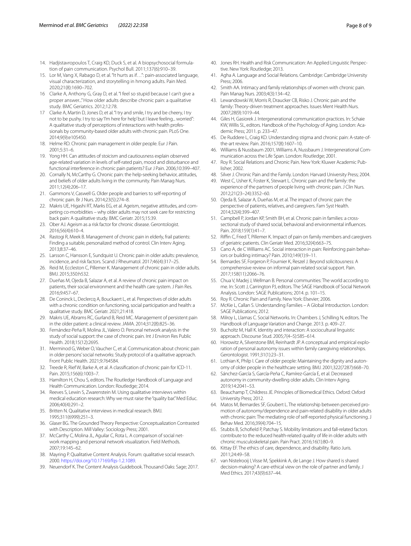- 14. Hadjistavropoulos T, Craig KD, Duck S, et al. A biopsychosocial formulation of pain communication. Psychol Bull. 2011;137(6):910–39.
- <span id="page-7-0"></span>15. Lor M, Vang X, Rabago D, et al. "It hurts as if…": pain-associated language, visual characterization, and storytelling in hmong adults. Pain Med. 2020;21(8):1690–702.
- <span id="page-7-1"></span>16 Clarke A, Anthony G, Gray D, et al. "I feel so stupid because I can't give a proper answer..." How older adults describe chronic pain: a qualitative study. BMC Geriatrics. 2012;12:78.
- <span id="page-7-2"></span>17 Clarke A, Martin D, Jones D, et al. "I try and smile, I try and be cheery, I try not to be pushy. I try to say 'I'm here for help' but I leave feeling... worried": A qualitative study of perceptions of interactions with health professionals by community-based older adults with chronic pain. PLoS One. 2014;9(9):e105450.
- <span id="page-7-3"></span>18. Helme RD. Chronic pain management in older people. Eur J Pain. 2001;5:31–6.
- 19. Yong HH. Can attitudes of stoicism and cautiousness explain observed age-related variation in levels of self-rated pain, mood and disturbance and functional interference in chronic pain patients? Eur J Pain. 2006;10:399–407.
- 20. Cornally N, McCarthy G. Chronic pain: the help-seeking behavior, attitudes, and beliefs of older adults living in the community. Pain Manag Nurs. 2011;12(4):206–17.
- 21. Gammons V, Caswell G. Older people and barriers to self-reporting of chronic pain. Br J Nurs. 2014;23(5):274–8.
- <span id="page-7-4"></span>22. Makris UE, Higashi RT, Marks EG, et al. Ageism, negative attitudes, and competing co-morbidities – why older adults may not seek care for restricting back pain: A qualitative study. BMC Geriatr. 2015;15:39.
- <span id="page-7-5"></span>23. Ober AJ. Ageism as a risk factor for chronic disease. Gerontologist. 2016;56(4):610–4.
- <span id="page-7-6"></span>24. Rastogi R, Meek B. Management of chronic pain in elderly, frail patients: Finding a suitable, personalized method of control. Clin Interv Aging. 2013;8:37–46.
- <span id="page-7-7"></span>25. Larsson C, Hansson E, Sundquist U. Chronic pain in older adults: prevalence, incidence, and risk factors. Scand J Rheumatol. 2017;46(4):317–25.
- <span id="page-7-8"></span>26. Reid M, Eccleston C, Pillemer K. Management of chronic pain in older adults. BMJ. 2015;350:h532.
- <span id="page-7-9"></span>27. Dueñas M, Ojeda B, Salazar A, et al. A review of chronic pain impact on patients, their social environment and the health care system. J Pain Res. 2016;9:457–67.
- <span id="page-7-10"></span>28. De Coninck L, Declercq A, Bouckaert L, et al. Perspectives of older adults with a chronic condition on functioning, social participation and health: a qualitative study. BMC Geriatr. 2021;21:418.
- <span id="page-7-11"></span>29. Makris UE, Abrams RC, Gurland B, Reid MC. Management of persistent pain in the older patient: a clinical review. JAMA. 2014;312(8):825–36.
- <span id="page-7-12"></span>30. Fernández-Peña R, Molina JL, Valero O. Personal network analysis in the study of social support: the case of chronic pain. Int J Environ Res Public Health. 2018;15(12):2695.
- <span id="page-7-13"></span>31. Merminod G, Weber O, Vaucher C, et al. Communication about chronic pain in older persons' social networks: Study protocol of a qualitative approach. Front Public Health. 2021;9:764584.
- <span id="page-7-14"></span>32. Treede R, Rief W, Barke A, et al. A classifcation of chronic pain for ICD-11. Pain. 2015;156(6):1003–7.
- <span id="page-7-15"></span>33. Hamilton H, Chou S, editors. The Routledge Handbook of Language and Health Communication. London: Routledge; 2014.
- <span id="page-7-16"></span>34. Reeves S, Lewin S, Zwarenstein M. Using qualitative interviews within medical education research: Why we must raise the "quality bar." Med Educ. 2006;40(4):291–2.
- <span id="page-7-17"></span>35. Britten N. Qualitative interviews in medical research. BMJ. 1995;311(6999):251–3.
- <span id="page-7-18"></span>36. Glaser BG. The Grounded Theory Perspective: Conceptualization Contrasted with Description. Mill Valley: Sociology Press; 2001.
- <span id="page-7-19"></span>37. McCarthy C, Molina JL, Aguilar C, Rota L. A comparison of social network mapping and personal network visualization. Field Methods. 2007;19:145–62.
- <span id="page-7-20"></span>38. Mayring P. Qualitative Content Analysis. Forum: qualitative social research. 2000. [https://doi.org/10.17169/fqs-1.2.1089.](https://doi.org/10.17169/fqs-1.2.1089)
- <span id="page-7-21"></span>39. Neuendorf K. The Content Analysis Guidebook. Thousand Oaks: Sage; 2017.
- <span id="page-7-22"></span>40. Jones RH. Health and Risk Communication: An Applied Linguistic Perspective. New York: Routledge; 2013.
- <span id="page-7-23"></span>41. Agha A. Language and Social Relations. Cambridge: Cambridge University Press; 2006.
- <span id="page-7-24"></span>42. Smith AA. Intimacy and family relationships of women with chronic pain. Pain Manag Nurs. 2003;4(3):134–42.
- <span id="page-7-25"></span>43. Lewandowski W, Morris R, Draucker CB, Risko J. Chronic pain and the family: Theory-driven treatment approaches. Issues Ment Health Nurs. 2007;28(9):1019–44.
- <span id="page-7-26"></span>44. Giles H, Gasiorek J. Intergenerational communication practices. In: Schaie KW, Willis SL, editors. Handbook of the Psychology of Aging. London: Academic Press; 2011. p. 233–47.
- <span id="page-7-27"></span>45. De Ruddere L, Craig KD. Understanding stigma and chronic pain: A-state-ofthe-art review. Pain. 2016;157(8):1607–10.
- <span id="page-7-28"></span>46. Williams & Nussbaum 2001, Williams A, Nussbaum J. Intergenerational Communication across the Life Span. London: Routledge; 2001.
- <span id="page-7-29"></span>47. Roy R. Social Relations and Chronic Pain. New York: Kluwer Academic Publisher; 2002.
- 48. Silver J. Chronic Pain and the Family. London: Harvard University Press; 2004.
- 49. West C, Usher K, Foster K, Stewart L. Chronic pain and the family: the experience of the partners of people living with chronic pain. J Clin Nurs. 2012;21(23–24):3352–60.
- 50. Ojeda B, Salazar A, Dueñas M, et al. The impact of chronic pain: the perspective of patients, relatives, and caregivers. Fam Syst Health. 2014;32(4):399–407.
- <span id="page-7-30"></span>51. Campbell P, Jordan KP, Smith BH, et al. Chronic pain in families: a crosssectional study of shared social, behavioral and environmental infuences. Pain. 2018;159(1):41–7.
- <span id="page-7-31"></span>52. Riffin C, Fried T, Pillemer K. Impact of pain on family members and caregivers of geriatric patients. Clin Geriatr Med. 2016;32(4):663–75.
- <span id="page-7-32"></span>53 Cano A, de C Williams AC. Social interaction in pain: Reinforcing pain behaviors or building intimacy? Pain. 2010;149(1):9–11.
- <span id="page-7-33"></span>54. Bernardes SF, Forgeron P, Fournier K, Reszel J. Beyond solicitousness: A comprehensive review on informal pain-related social support. Pain. 2017;158(11):2066–76.
- <span id="page-7-34"></span>55. Chua V, Madej J, Wellman B. Personal communities: The world according to me. In: Scott J, Carrington PJ, editors. The SAGE Handbook of Social Network Analysis. London: SAGE Publications; 2014. p. 101–15.
- <span id="page-7-35"></span>56. Roy R. Chronic Pain and Family. New York: Elsevier; 2006.
- <span id="page-7-36"></span>57. McKie L, Callan S. Understanding Families – A Global Introduction. London: SAGE Publications; 2012.
- <span id="page-7-37"></span>58. Milroy L, Llamas C. Social Networks. In: Chambers J, Schilling N, editors. The Handbook of Language Variation and Change. 2013. p. 409–27.
- <span id="page-7-38"></span>59. Bucholtz M, Hall K. Identity and interaction: A sociocultural linguistic approach. Discourse Stud. 2005;7(4–5):585–614.
- <span id="page-7-39"></span>60. Horowitz A, Silverstone BM, Reinhardt JP. A conceptual and empirical exploration of personal autonomy issues within family caregiving relationships. Gerontologist. 1991;31(1):23–31.
- 61. Lothian K, Philp I. Care of older people: Maintaining the dignity and autonomy of older people in the healthcare setting. BMJ. 2001;322(7287):668–70.
- <span id="page-7-40"></span>62. Sánchez-García S, García-Peña C, Ramírez-García E, et al. Decreased autonomy in community-dwelling older adults. Clin Interv Aging. 2019;14:2041–53.
- <span id="page-7-41"></span>63. Beauchamp T, Childress JE. Principles of Biomedical Ethics. Oxford: Oxford University Press; 2012.
- <span id="page-7-42"></span>64. Matos M, Bernardes SF, Goubert L. The relationship between perceived promotion of autonomy/dependence and pain-related disability in older adults with chronic pain: The mediating role of self-reported physical functioning. J Behav Med. 2016;39(4):704–15.
- <span id="page-7-43"></span>65. Stubbs B, Schofeld P, Patchay S. Mobility limitations and fall-related factors contribute to the reduced health-related quality of life in older adults with chronic musculoskeletal pain. Pain Pract. 2016;16(1):80–9.
- <span id="page-7-44"></span>66. Kittay EF. The ethics of care, dependence, and disability. Ratio Juris. 2011;24:49–58.
- <span id="page-7-45"></span>67. van Nistelrooij I, Visse M, Spekkink A, de Lange J. How shared is shared decision-making? A care-ethical view on the role of partner and family. J Med Ethics. 2017;43(9):637–44.